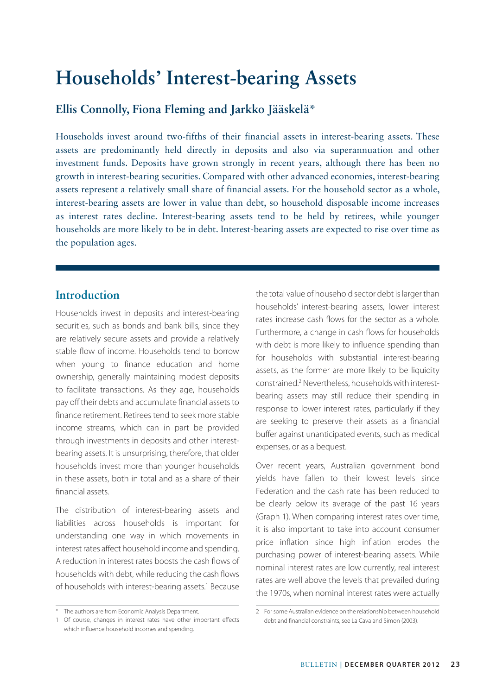# **Households' Interest-bearing Assets**

## **Ellis Connolly, Fiona Fleming and Jarkko Jääskelä\***

Households invest around two-fifths of their financial assets in interest-bearing assets. These assets are predominantly held directly in deposits and also via superannuation and other investment funds. Deposits have grown strongly in recent years, although there has been no growth in interest-bearing securities. Compared with other advanced economies, interest-bearing assets represent a relatively small share of financial assets. For the household sector as a whole, interest-bearing assets are lower in value than debt, so household disposable income increases as interest rates decline. Interest-bearing assets tend to be held by retirees, while younger households are more likely to be in debt. Interest-bearing assets are expected to rise over time as the population ages.

## **Introduction**

Households invest in deposits and interest-bearing securities, such as bonds and bank bills, since they are relatively secure assets and provide a relatively stable flow of income. Households tend to borrow when young to finance education and home ownership, generally maintaining modest deposits to facilitate transactions. As they age, households pay off their debts and accumulate financial assets to finance retirement. Retirees tend to seek more stable income streams, which can in part be provided through investments in deposits and other interestbearing assets. It is unsurprising, therefore, that older households invest more than younger households in these assets, both in total and as a share of their financial assets.

The distribution of interest-bearing assets and liabilities across households is important for understanding one way in which movements in interest rates affect household income and spending. A reduction in interest rates boosts the cash flows of households with debt, while reducing the cash flows of households with interest-bearing assets.<sup>1</sup> Because the total value of household sector debt is larger than households' interest-bearing assets, lower interest rates increase cash flows for the sector as a whole. Furthermore, a change in cash flows for households with debt is more likely to influence spending than for households with substantial interest-bearing assets, as the former are more likely to be liquidity constrained.<sup>2</sup> Nevertheless, households with interestbearing assets may still reduce their spending in response to lower interest rates, particularly if they are seeking to preserve their assets as a financial buffer against unanticipated events, such as medical expenses, or as a bequest.

Over recent years, Australian government bond yields have fallen to their lowest levels since Federation and the cash rate has been reduced to be clearly below its average of the past 16 years (Graph 1). When comparing interest rates over time, it is also important to take into account consumer price inflation since high inflation erodes the purchasing power of interest-bearing assets. While nominal interest rates are low currently, real interest rates are well above the levels that prevailed during the 1970s, when nominal interest rates were actually

<sup>\*</sup> The authors are from Economic Analysis Department.

<sup>1</sup> Of course, changes in interest rates have other important effects which influence household incomes and spending.

<sup>2</sup> For some Australian evidence on the relationship between household debt and financial constraints, see La Cava and Simon (2003).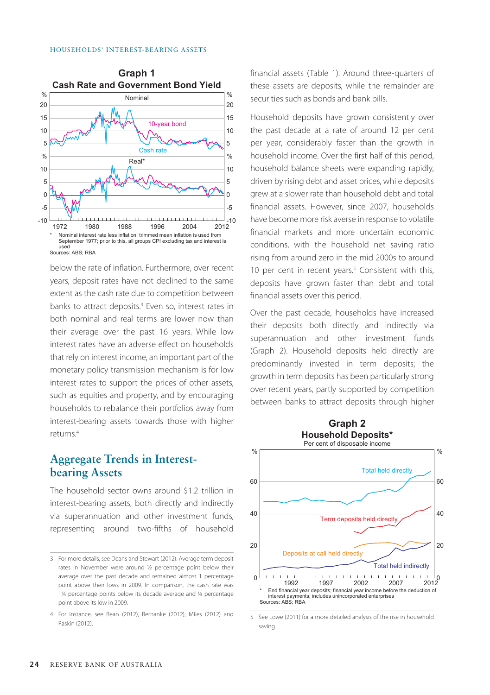

below the rate of inflation. Furthermore, over recent years, deposit rates have not declined to the same extent as the cash rate due to competition between banks to attract deposits.<sup>3</sup> Even so, interest rates in both nominal and real terms are lower now than their average over the past 16 years. While low interest rates have an adverse effect on households that rely on interest income, an important part of the monetary policy transmission mechanism is for low interest rates to support the prices of other assets, such as equities and property, and by encouraging households to rebalance their portfolios away from interest-bearing assets towards those with higher returns.4

## **Aggregate Trends in Interestbearing Assets**

The household sector owns around \$1.2 trillion in interest-bearing assets, both directly and indirectly via superannuation and other investment funds, representing around two-fifths of household financial assets (Table 1). Around three-quarters of these assets are deposits, while the remainder are securities such as bonds and bank bills.

Household deposits have grown consistently over the past decade at a rate of around 12 per cent per year, considerably faster than the growth in household income. Over the first half of this period, household balance sheets were expanding rapidly, driven by rising debt and asset prices, while deposits grew at a slower rate than household debt and total financial assets. However, since 2007, households have become more risk averse in response to volatile financial markets and more uncertain economic conditions, with the household net saving ratio rising from around zero in the mid 2000s to around 10 per cent in recent years.<sup>5</sup> Consistent with this, deposits have grown faster than debt and total financial assets over this period.

Over the past decade, households have increased their deposits both directly and indirectly via superannuation and other investment funds (Graph 2). Household deposits held directly are predominantly invested in term deposits; the growth in term deposits has been particularly strong over recent years, partly supported by competition between banks to attract deposits through higher



<sup>5</sup> See Lowe (2011) for a more detailed analysis of the rise in household saving.

<sup>3</sup> For more details, see Deans and Stewart (2012). Average term deposit rates in November were around ½ percentage point below their average over the past decade and remained almost 1 percentage point above their lows in 2009. In comparison, the cash rate was 1¾ percentage points below its decade average and ¼ percentage point above its low in 2009.

<sup>4</sup> For instance, see Bean (2012), Bernanke (2012), Miles (2012) and Raskin (2012).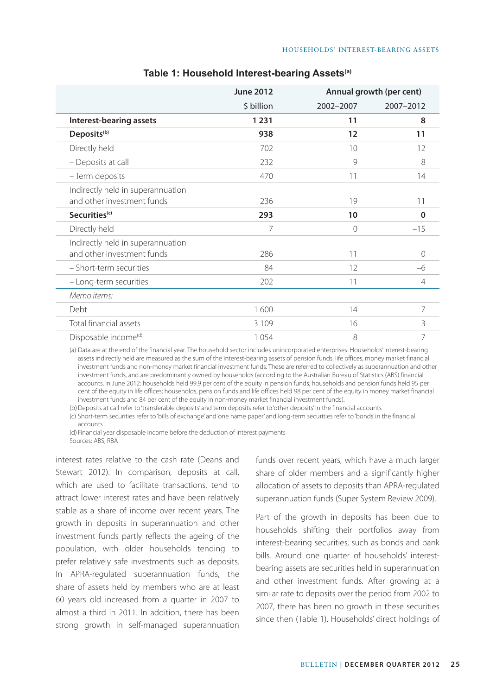|                                                                 | <b>June 2012</b> |           | Annual growth (per cent) |  |  |
|-----------------------------------------------------------------|------------------|-----------|--------------------------|--|--|
|                                                                 | \$ billion       | 2002-2007 | 2007-2012                |  |  |
| Interest-bearing assets                                         | 1 2 3 1          | 11        | 8                        |  |  |
| Deposits <sup>(b)</sup>                                         | 938              | 12        | 11                       |  |  |
| Directly held                                                   | 702              | 10        | 12                       |  |  |
| - Deposits at call                                              | 232              | 9         | 8                        |  |  |
| - Term deposits                                                 | 470              | 11        | 14                       |  |  |
| Indirectly held in superannuation<br>and other investment funds | 236              | 19        | 11                       |  |  |
| Securities <sup>(c)</sup>                                       | 293              | 10        | 0                        |  |  |
| Directly held                                                   | 7                | $\Omega$  | $-15$                    |  |  |
| Indirectly held in superannuation                               |                  |           |                          |  |  |
| and other investment funds                                      | 286              | 11        | $\Omega$                 |  |  |
| - Short-term securities                                         | 84               | 12        | -6                       |  |  |
| - Long-term securities                                          | 202              | 11        | $\overline{4}$           |  |  |
| Memo items:                                                     |                  |           |                          |  |  |
| Debt                                                            | 1600             | 14        | 7                        |  |  |
| Total financial assets                                          | 3 1 0 9          | 16        | 3                        |  |  |
| Disposable income <sup>(d)</sup>                                | 1054             | 8         | 7                        |  |  |

#### **Table 1: Household Interest-bearing Assets(a)**

(a) Data are at the end of the financial year. The household sector includes unincorporated enterprises. Households' interest-bearing assets indirectly held are measured as the sum of the interest-bearing assets of pension funds, life offices, money market financial investment funds and non-money market financial investment funds. These are referred to collectively as superannuation and other investment funds, and are predominantly owned by households (according to the Australian Bureau of Statistics (ABS) financial accounts, in June 2012: households held 99.9 per cent of the equity in pension funds; households and pension funds held 95 per cent of the equity in life offices; households, pension funds and life offices held 98 per cent of the equity in money market financial investment funds and 84 per cent of the equity in non-money market financial investment funds).

(b)Deposits at call refer to 'transferable deposits' and term deposits refer to 'other deposits' in the financial accounts

(c) Short-term securities refer to 'bills of exchange' and 'one name paper' and long-term securities refer to 'bonds' in the financial accounts

(d) Financial year disposable income before the deduction of interest payments Sources: ABS; RBA

interest rates relative to the cash rate (Deans and Stewart 2012). In comparison, deposits at call, which are used to facilitate transactions, tend to attract lower interest rates and have been relatively stable as a share of income over recent years. The growth in deposits in superannuation and other investment funds partly reflects the ageing of the population, with older households tending to prefer relatively safe investments such as deposits. In APRA-regulated superannuation funds, the share of assets held by members who are at least 60 years old increased from a quarter in 2007 to almost a third in 2011. In addition, there has been strong growth in self-managed superannuation funds over recent years, which have a much larger share of older members and a significantly higher allocation of assets to deposits than APRA-regulated superannuation funds (Super System Review 2009).

Part of the growth in deposits has been due to households shifting their portfolios away from interest-bearing securities, such as bonds and bank bills. Around one quarter of households' interestbearing assets are securities held in superannuation and other investment funds. After growing at a similar rate to deposits over the period from 2002 to 2007, there has been no growth in these securities since then (Table 1). Households' direct holdings of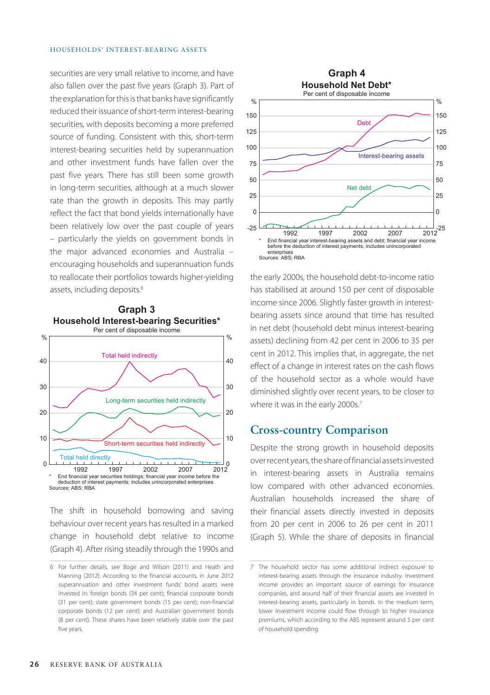securities are very small relative to income, and have also fallen over the past five years (Graph 3). Part of the explanation for this is that banks have significantly reduced their issuance of short-term interest-bearing securities, with deposits becoming a more preferred source of funding. Consistent with this, short-term interest-bearing securities held by superannuation and other investment funds have fallen over the past five years. There has still been some growth in long-term securities, although at a much slower rate than the growth in deposits. This may partly reflect the fact that bond yields internationally have been relatively low over the past couple of years – particularly the yields on government bonds in the major advanced economies and Australia – encouraging households and superannuation funds to reallocate their portfolios towards higher-yielding assets, including deposits.<sup>6</sup>



The shift in household borrowing and saving behaviour over recent years has resulted in a marked change in household debt relative to income (Graph 4). After rising steadily through the 1990s and



the early 2000s, the household debt-to-income ratio has stabilised at around 150 per cent of disposable income since 2006. Slightly faster growth in interestbearing assets since around that time has resulted in net debt (household debt minus interest-bearing assets) declining from 42 per cent in 2006 to 35 per cent in 2012. This implies that, in aggregate, the net effect of a change in interest rates on the cash flows of the household sector as a whole would have diminished slightly over recent years, to be closer to where it was in the early 2000s.<sup>7</sup>

#### **Cross-country Comparison**

Despite the strong growth in household deposits over recent years, the share of financial assets invested in interest-bearing assets in Australia remains low compared with other advanced economies. Australian households increased the share of their financial assets directly invested in deposits from 20 per cent in 2006 to 26 per cent in 2011 (Graph 5). While the share of deposits in financial

<sup>6</sup> For further details, see Boge and Wilson (2011) and Heath and Manning (2012). According to the financial accounts, in June 2012 superannuation and other investment funds' bond assets were invested in: foreign bonds (34 per cent); financial corporate bonds (31 per cent); state government bonds (15 per cent); non-financial corporate bonds (12 per cent); and Australian government bonds (8 per cent). These shares have been relatively stable over the past five years.

<sup>7</sup> The household sector has some additional indirect exposure to interest-bearing assets through the insurance industry. Investment income provides an important source of earnings for insurance companies, and around half of their financial assets are invested in interest-bearing assets, particularly in bonds. In the medium term, lower investment income could flow through to higher insurance premiums, which according to the ABS represent around 5 per cent of household spending.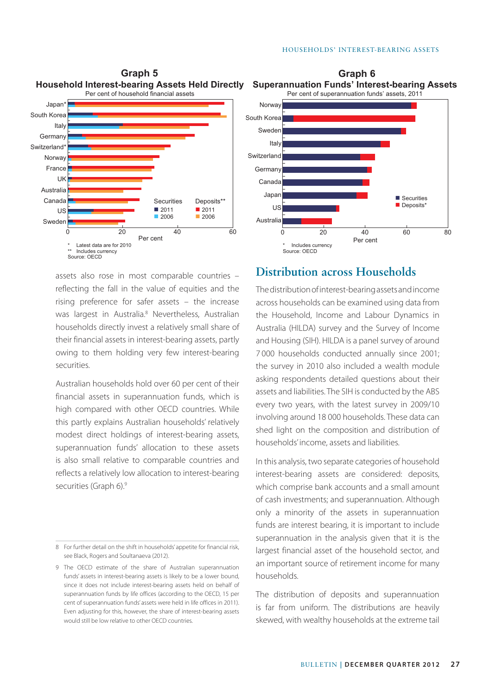**Graph 6**





assets also rose in most comparable countries – reflecting the fall in the value of equities and the rising preference for safer assets – the increase was largest in Australia.<sup>8</sup> Nevertheless, Australian households directly invest a relatively small share of their financial assets in interest-bearing assets, partly owing to them holding very few interest-bearing securities.

Australian households hold over 60 per cent of their financial assets in superannuation funds, which is high compared with other OECD countries. While this partly explains Australian households' relatively modest direct holdings of interest-bearing assets, superannuation funds' allocation to these assets is also small relative to comparable countries and reflects a relatively low allocation to interest-bearing securities (Graph 6).9

## **Distribution across Households**

The distribution of interest-bearing assets and income across households can be examined using data from the Household, Income and Labour Dynamics in Australia (HILDA) survey and the Survey of Income and Housing (SIH). HILDA is a panel survey of around 7 000 households conducted annually since 2001; the survey in 2010 also included a wealth module asking respondents detailed questions about their assets and liabilities. The SIH is conducted by the ABS every two years, with the latest survey in 2009/10 involving around 18 000 households. These data can shed light on the composition and distribution of households' income, assets and liabilities.

In this analysis, two separate categories of household interest-bearing assets are considered: deposits, which comprise bank accounts and a small amount of cash investments; and superannuation. Although only a minority of the assets in superannuation funds are interest bearing, it is important to include superannuation in the analysis given that it is the largest financial asset of the household sector, and an important source of retirement income for many households.

The distribution of deposits and superannuation is far from uniform. The distributions are heavily skewed, with wealthy households at the extreme tail

<sup>8</sup> For further detail on the shift in households' appetite for financial risk, see Black, Rogers and Soultanaeva (2012).

<sup>9</sup> The OECD estimate of the share of Australian superannuation funds' assets in interest-bearing assets is likely to be a lower bound, since it does not include interest-bearing assets held on behalf of superannuation funds by life offices (according to the OECD, 15 per cent of superannuation funds' assets were held in life offices in 2011). Even adjusting for this, however, the share of interest-bearing assets would still be low relative to other OECD countries.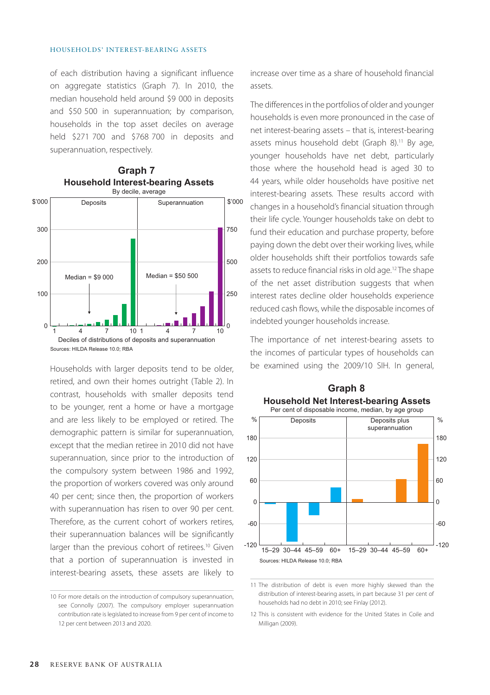of each distribution having a significant influence on aggregate statistics (Graph 7). In 2010, the median household held around \$9 000 in deposits and \$50 500 in superannuation; by comparison, households in the top asset deciles on average held \$271 700 and \$768 700 in deposits and superannuation, respectively.



### **Household Interest-bearing Assets Graph 7**

Households with larger deposits tend to be older, retired, and own their homes outright (Table 2). In contrast, households with smaller deposits tend to be younger, rent a home or have a mortgage and are less likely to be employed or retired. The demographic pattern is similar for superannuation, except that the median retiree in 2010 did not have superannuation, since prior to the introduction of the compulsory system between 1986 and 1992, the proportion of workers covered was only around 40 per cent; since then, the proportion of workers with superannuation has risen to over 90 per cent. Therefore, as the current cohort of workers retires, their superannuation balances will be significantly larger than the previous cohort of retirees.<sup>10</sup> Given that a portion of superannuation is invested in interest-bearing assets, these assets are likely to increase over time as a share of household financial assets.

The differences in the portfolios of older and younger households is even more pronounced in the case of net interest-bearing assets – that is, interest-bearing assets minus household debt (Graph 8).<sup>11</sup> By age, younger households have net debt, particularly those where the household head is aged 30 to 44 years, while older households have positive net interest-bearing assets. These results accord with changes in a household's financial situation through their life cycle. Younger households take on debt to fund their education and purchase property, before paying down the debt over their working lives, while older households shift their portfolios towards safe assets to reduce financial risks in old age.12 The shape of the net asset distribution suggests that when interest rates decline older households experience reduced cash flows, while the disposable incomes of indebted younger households increase.

The importance of net interest-bearing assets to the incomes of particular types of households can be examined using the 2009/10 SIH. In general,



## **Household Net Interest-bearing Assets Graph 8**

11 The distribution of debt is even more highly skewed than the distribution of interest-bearing assets, in part because 31 per cent of households had no debt in 2010; see Finlay (2012).

12 This is consistent with evidence for the United States in Coile and Milligan (2009).

<sup>10</sup> For more details on the introduction of compulsory superannuation, see Connolly (2007). The compulsory employer superannuation contribution rate is legislated to increase from 9 per cent of income to 12 per cent between 2013 and 2020.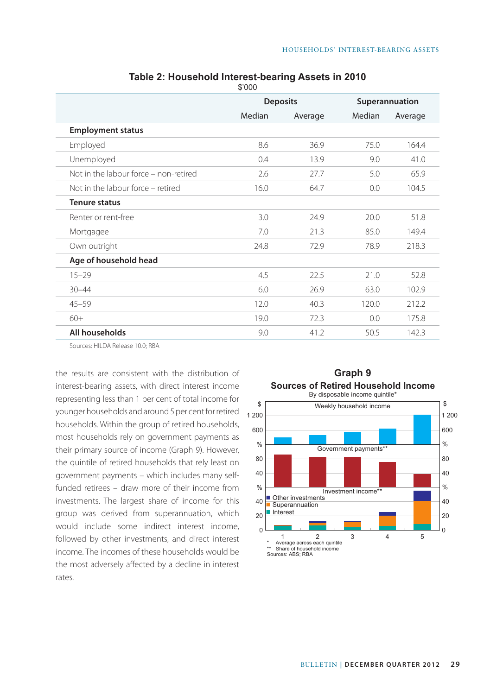|                                       | <b>Deposits</b> |         | Superannuation |         |
|---------------------------------------|-----------------|---------|----------------|---------|
|                                       | Median          | Average | Median         | Average |
| <b>Employment status</b>              |                 |         |                |         |
| Employed                              | 8.6             | 36.9    | 75.0           | 164.4   |
| Unemployed                            | 0.4             | 13.9    | 9.0            | 41.0    |
| Not in the labour force - non-retired | 2.6             | 27.7    | 5.0            | 65.9    |
| Not in the labour force – retired     | 16.0            | 64.7    | 0.0            | 104.5   |
| <b>Tenure status</b>                  |                 |         |                |         |
| Renter or rent-free                   | 3.0             | 24.9    | 20.0           | 51.8    |
| Mortgagee                             | 7.0             | 21.3    | 85.0           | 149.4   |
| Own outright                          | 24.8            | 72.9    | 78.9           | 218.3   |
| Age of household head                 |                 |         |                |         |
| $15 - 29$                             | 4.5             | 22.5    | 21.0           | 52.8    |
| $30 - 44$                             | 6.0             | 26.9    | 63.0           | 102.9   |
| $45 - 59$                             | 12.0            | 40.3    | 120.0          | 212.2   |
| $60+$                                 | 19.0            | 72.3    | 0.0            | 175.8   |
| All households                        | 9.0             | 41.2    | 50.5           | 142.3   |
|                                       |                 |         |                |         |

**Table 2: Household Interest-bearing Assets in 2010** \$'000

Sources: HILDA Release 10.0; RBA

the results are consistent with the distribution of **Graph 9** interest-bearing assets, with direct interest income representing less than 1 per cent of total income for younger households and around 5 per cent for retired households. Within the group of retired households, most households rely on government payments as their primary source of income (Graph 9). However, the quintile of retired households that rely least on government payments – which includes many selffunded retirees – draw more of their income from investments. The largest share of income for this group was derived from superannuation, which would include some indirect interest income, followed by other investments, and direct interest income. The incomes of these households would be the most adversely affected by a decline in interest rates.



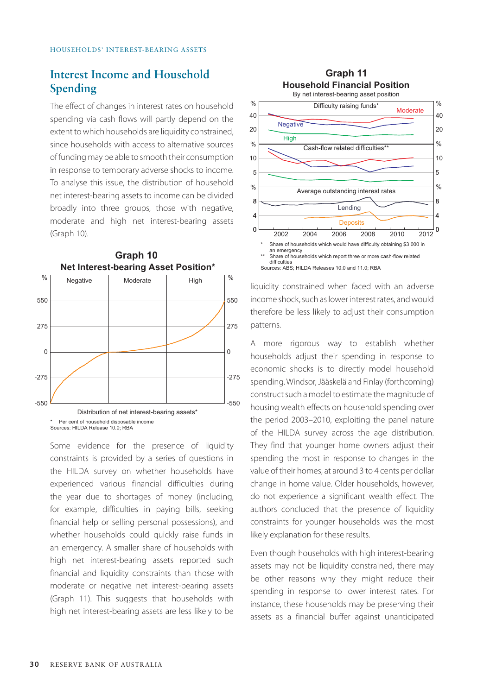## **Interest Income and Household Spending**

The effect of changes in interest rates on household spending via cash flows will partly depend on the extent to which households are liquidity constrained, since households with access to alternative sources of funding may be able to smooth their consumption in response to temporary adverse shocks to income. To analyse this issue, the distribution of household net interest-bearing assets to income can be divided broadly into three groups, those with negative, moderate and high net interest-bearing assets (Graph 10).



**Graph 10**



Some evidence for the presence of liquidity constraints is provided by a series of questions in the HILDA survey on whether households have experienced various financial difficulties during the year due to shortages of money (including, for example, difficulties in paying bills, seeking financial help or selling personal possessions), and whether households could quickly raise funds in an emergency. A smaller share of households with high net interest-bearing assets reported such financial and liquidity constraints than those with moderate or negative net interest-bearing assets (Graph 11). This suggests that households with high net interest-bearing assets are less likely to be



liquidity constrained when faced with an adverse income shock, such as lower interest rates, and would therefore be less likely to adjust their consumption patterns.

A more rigorous way to establish whether households adjust their spending in response to economic shocks is to directly model household spending. Windsor, Jääskelä and Finlay (forthcoming) construct such a model to estimate the magnitude of housing wealth effects on household spending over the period 2003–2010, exploiting the panel nature of the HILDA survey across the age distribution. They find that younger home owners adjust their spending the most in response to changes in the value of their homes, at around 3 to 4 cents per dollar change in home value. Older households, however, do not experience a significant wealth effect. The authors concluded that the presence of liquidity constraints for younger households was the most likely explanation for these results.

Even though households with high interest-bearing assets may not be liquidity constrained, there may be other reasons why they might reduce their spending in response to lower interest rates. For instance, these households may be preserving their assets as a financial buffer against unanticipated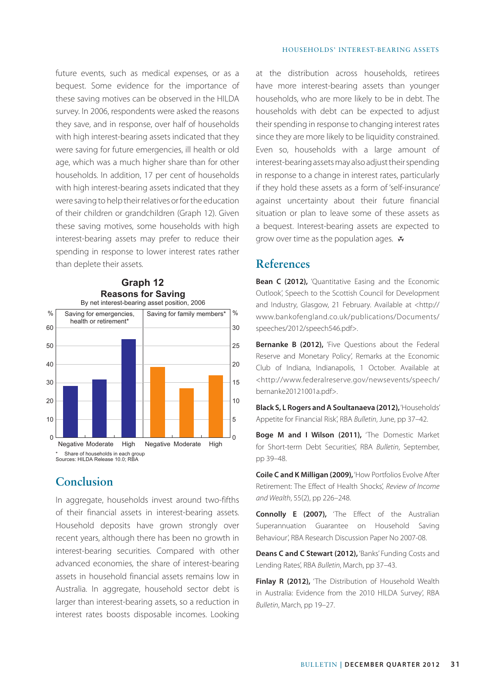future events, such as medical expenses, or as a bequest. Some evidence for the importance of these saving motives can be observed in the HILDA survey. In 2006, respondents were asked the reasons they save, and in response, over half of households with high interest-bearing assets indicated that they were saving for future emergencies, ill health or old age, which was a much higher share than for other households. In addition, 17 per cent of households with high interest-bearing assets indicated that they were saving to help their relatives or for the education of their children or grandchildren (Graph 12). Given these saving motives, some households with high interest-bearing assets may prefer to reduce their spending in response to lower interest rates rather than deplete their assets.



## **Conclusion**

In aggregate, households invest around two-fifths of their financial assets in interest-bearing assets. Household deposits have grown strongly over recent years, although there has been no growth in interest-bearing securities. Compared with other advanced economies, the share of interest-bearing assets in household financial assets remains low in Australia. In aggregate, household sector debt is larger than interest-bearing assets, so a reduction in interest rates boosts disposable incomes. Looking at the distribution across households, retirees have more interest-bearing assets than younger households, who are more likely to be in debt. The households with debt can be expected to adjust their spending in response to changing interest rates since they are more likely to be liquidity constrained. Even so, households with a large amount of interest-bearing assets may also adjust their spending in response to a change in interest rates, particularly if they hold these assets as a form of 'self-insurance' against uncertainty about their future financial situation or plan to leave some of these assets as a bequest. Interest-bearing assets are expected to grow over time as the population ages.  $\mathbf{\bar{x}}$ 

## **References**

**Bean C (2012),** 'Quantitative Easing and the Economic Outlook', Speech to the Scottish Council for Development and Industry, Glasgow, 21 February. Available at <http:// www.bankofengland.co.uk/publications/Documents/ speeches/2012/speech546.pdf>.

**Bernanke B (2012),** 'Five Questions about the Federal Reserve and Monetary Policy', Remarks at the Economic Club of Indiana, Indianapolis, 1 October. Available at <http://www.federalreserve.gov/newsevents/speech/ bernanke20121001a.pdf>.

**Black S, L Rogers and A Soultanaeva (2012),** 'Households' Appetite for Financial Risk', RBA *Bulletin*, June, pp 37–42.

**Boge M and I Wilson (2011),** 'The Domestic Market for Short-term Debt Securities', RBA *Bulletin*, September, pp 39–48.

**Coile C and K Milligan (2009),** 'How Portfolios Evolve After Retirement: The Effect of Health Shocks', *Review of Income and Wealth*, 55(2), pp 226–248.

**Connolly E (2007),** 'The Effect of the Australian Superannuation Guarantee on Household Saving Behaviour', RBA Research Discussion Paper No 2007-08.

**Deans C and C Stewart (2012),** 'Banks' Funding Costs and Lending Rates', RBA *Bulletin*, March, pp 37–43.

**Finlay R (2012),** 'The Distribution of Household Wealth in Australia: Evidence from the 2010 HILDA Survey', RBA *Bulletin*, March, pp 19–27.